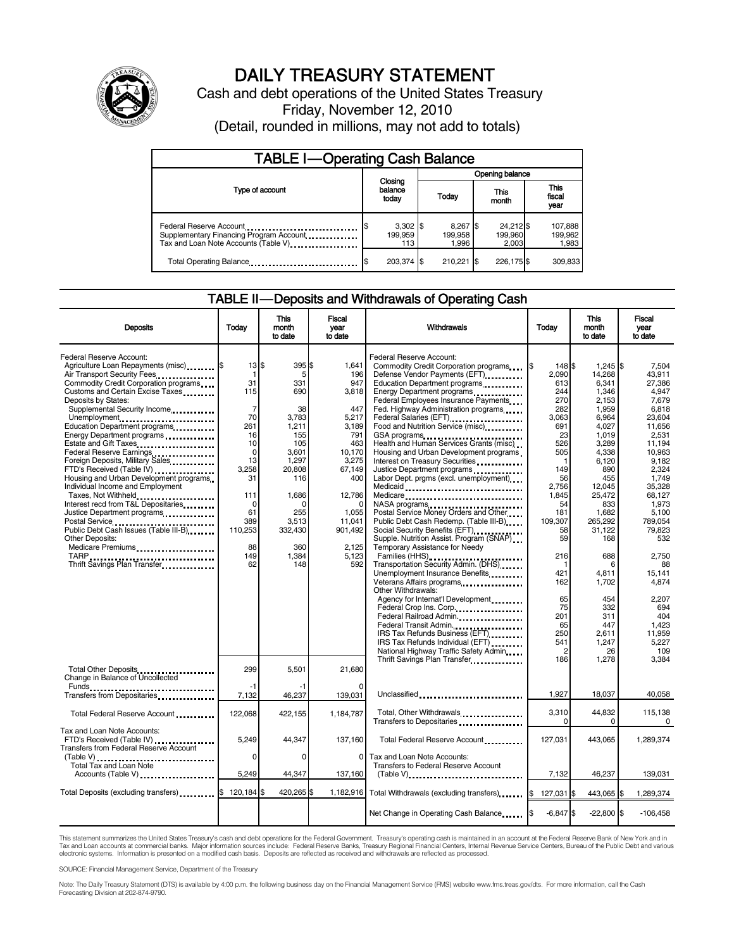

# DAILY TREASURY STATEMENT

Cash and debt operations of the United States Treasury Friday, November 12, 2010 (Detail, rounded in millions, may not add to totals)

| <b>TABLE I-Operating Cash Balance</b>                                                                            |                              |                              |                               |                               |  |  |
|------------------------------------------------------------------------------------------------------------------|------------------------------|------------------------------|-------------------------------|-------------------------------|--|--|
|                                                                                                                  | Opening balance              |                              |                               |                               |  |  |
| Type of account                                                                                                  | Closing<br>balance<br>today  | Today                        | This<br>month                 | <b>This</b><br>fiscal<br>year |  |  |
| Federal Reserve Account<br>Supplementary Financing Program Account<br>Tax and Loan Note Accounts (Table V) [100] | $3,302$ \$<br>199.959<br>113 | 8,267 \$<br>199.958<br>1.996 | 24,212 \$<br>199,960<br>2.003 | 107,888<br>199,962<br>1,983   |  |  |
| Total Operating Balance                                                                                          | 203,374 \$                   | 210.221                      | 226,175\$                     | 309,833                       |  |  |

#### TABLE II — Deposits and Withdrawals of Operating Cash

| <b>Deposits</b>                                                                                                                                                                                                                                                                                                                                                                                                                                                                                                                                                                                                                                                                                                                                      | Todav                                                                                                                                                                | <b>This</b><br>month<br>to date                                                                                                                                           | Fiscal<br>vear<br>to date                                                                                                                                                | <b>Withdrawals</b>                                                                                                                                                                                                                                                                                                                                                                                                                                                                                                                                                                                                                                                                                                                                                                                                                                                                                                                                                                                                                                                                                                                    | Todav                                                                                                                                                                                                                 | <b>This</b><br>month<br>to date                                                                                                                                                                                                                                               | Fiscal<br>vear<br>to date                                                                                                                                                                                                                                                                      |
|------------------------------------------------------------------------------------------------------------------------------------------------------------------------------------------------------------------------------------------------------------------------------------------------------------------------------------------------------------------------------------------------------------------------------------------------------------------------------------------------------------------------------------------------------------------------------------------------------------------------------------------------------------------------------------------------------------------------------------------------------|----------------------------------------------------------------------------------------------------------------------------------------------------------------------|---------------------------------------------------------------------------------------------------------------------------------------------------------------------------|--------------------------------------------------------------------------------------------------------------------------------------------------------------------------|---------------------------------------------------------------------------------------------------------------------------------------------------------------------------------------------------------------------------------------------------------------------------------------------------------------------------------------------------------------------------------------------------------------------------------------------------------------------------------------------------------------------------------------------------------------------------------------------------------------------------------------------------------------------------------------------------------------------------------------------------------------------------------------------------------------------------------------------------------------------------------------------------------------------------------------------------------------------------------------------------------------------------------------------------------------------------------------------------------------------------------------|-----------------------------------------------------------------------------------------------------------------------------------------------------------------------------------------------------------------------|-------------------------------------------------------------------------------------------------------------------------------------------------------------------------------------------------------------------------------------------------------------------------------|------------------------------------------------------------------------------------------------------------------------------------------------------------------------------------------------------------------------------------------------------------------------------------------------|
| Federal Reserve Account:<br>Agriculture Loan Repayments (misc) \$<br>Air Transport Security Fees<br>Commodity Credit Corporation programs<br>Customs and Certain Excise Taxes<br>Deposits by States:<br>Supplemental Security Income<br>Unemployment<br>Education Department programs<br>Energy Department programs<br>Estate and Gift Taxes<br>Federal Reserve Earnings<br>Foreign Deposits, Military Sales<br>FTD's Received (Table IV)<br>Housing and Urban Development programs<br>Individual Income and Employment<br>Taxes, Not Withheld<br>Interest recd from T&L Depositaries<br>Justice Department programs<br>Public Debt Cash Issues (Table III-B)<br><b>Other Deposits:</b><br>Medicare Premiums<br>Thrift Savings Plan Transfer<br>1996 | 13 \$<br>1<br>31<br>115<br>$\overline{7}$<br>70<br>261<br>16<br>10<br>$\mathbf 0$<br>13<br>3.258<br>31<br>111<br>$\Omega$<br>61<br>389<br>110,253<br>88<br>149<br>62 | 395 \$<br>5<br>331<br>690<br>38<br>3.783<br>1,211<br>155<br>105<br>3,601<br>1,297<br>20.808<br>116<br>1,686<br>$\Omega$<br>255<br>3,513<br>332,430<br>360<br>1,384<br>148 | 1.641<br>196<br>947<br>3,818<br>447<br>5.217<br>3,189<br>791<br>463<br>10,170<br>3,275<br>67.149<br>400<br>12,786<br>1.055<br>11,041<br>901,492<br>2.125<br>5,123<br>592 | Federal Reserve Account:<br>Commodity Credit Corporation programs<br>Defense Vendor Payments (EFT)<br>Education Department programs<br>Energy Department programs<br><br>Federal Employees Insurance Payments<br>Fed. Highway Administration programs<br>Federal Salaries (EFT)<br>Food and Nutrition Service (misc)<br>Health and Human Services Grants (misc)<br>Housing and Urban Development programs<br>Interest on Treasury Securities<br>Justice Department programs<br>Labor Dept. prgms (excl. unemployment)<br>Medicaid<br>Medicare<br>NASA programs<br>Postal Service Money Orders and Other<br>Public Debt Cash Redemp. (Table III-B)<br>Social Security Benefits (EFT)<br>Supple. Nutrition Assist. Program (SNAP)<br>Temporary Assistance for Needy<br>Transportation Security Admin. (DHS)<br>Unemployment Insurance Benefits<br>Veterans Affairs programs<br><br>Other Withdrawals:<br>Agency for Internat'l Development<br>Federal Crop Ins. Corp<br>Federal Railroad Admin<br>Federal Transit Admin.<br>IRS Tax Refunds Business (EFT)<br>IRS Tax Refunds Individual (EFT)<br>National Highway Traffic Safety Admin | I\$<br>148 \$<br>2.090<br>613<br>244<br>270<br>282<br>3.063<br>691<br>23<br>526<br>505<br>149<br>56<br>2,756<br>1,845<br>54<br>181<br>109,307<br>58<br>59<br>216<br>421<br>162<br>65<br>75<br>201<br>65<br>250<br>541 | $1.245$ S<br>14,268<br>6.341<br>1,346<br>2,153<br>1,959<br>6.964<br>4,027<br>1.019<br>3,289<br>4.338<br>6,120<br>890<br>455<br>12,045<br>25,472<br>833<br>1.682<br>265,292<br>31,122<br>168<br>688<br>6<br>4,811<br>1,702<br>454<br>332<br>311<br>447<br>2,611<br>1,247<br>26 | 7.504<br>43.911<br>27.386<br>4.947<br>7.679<br>6.818<br>23.604<br>11.656<br>2.531<br>11.194<br>10.963<br>9.182<br>2.324<br>1.749<br>35,328<br>68.127<br>1.973<br>5.100<br>789,054<br>79,823<br>532<br>2,750<br>88<br>15,141<br>4.874<br>2,207<br>694<br>404<br>1,423<br>11,959<br>5,227<br>109 |
| Total Other Deposits<br>Change in Balance of Uncollected                                                                                                                                                                                                                                                                                                                                                                                                                                                                                                                                                                                                                                                                                             | 299                                                                                                                                                                  | 5,501                                                                                                                                                                     | 21,680                                                                                                                                                                   | Thrift Savings Plan Transfer                                                                                                                                                                                                                                                                                                                                                                                                                                                                                                                                                                                                                                                                                                                                                                                                                                                                                                                                                                                                                                                                                                          | 186                                                                                                                                                                                                                   | 1,278                                                                                                                                                                                                                                                                         | 3,384                                                                                                                                                                                                                                                                                          |
| Funds<br>Transfers from Depositaries                                                                                                                                                                                                                                                                                                                                                                                                                                                                                                                                                                                                                                                                                                                 | -1<br>7.132                                                                                                                                                          | -1<br>46.237                                                                                                                                                              | $\Omega$<br>139.031                                                                                                                                                      | Unclassified                                                                                                                                                                                                                                                                                                                                                                                                                                                                                                                                                                                                                                                                                                                                                                                                                                                                                                                                                                                                                                                                                                                          | 1,927                                                                                                                                                                                                                 | 18,037                                                                                                                                                                                                                                                                        | 40,058                                                                                                                                                                                                                                                                                         |
| Total Federal Reserve Account                                                                                                                                                                                                                                                                                                                                                                                                                                                                                                                                                                                                                                                                                                                        | 122,068                                                                                                                                                              | 422,155                                                                                                                                                                   | 1,184,787                                                                                                                                                                | Total, Other Withdrawals<br>Transfers to Depositaries                                                                                                                                                                                                                                                                                                                                                                                                                                                                                                                                                                                                                                                                                                                                                                                                                                                                                                                                                                                                                                                                                 | 3,310<br>0                                                                                                                                                                                                            | 44,832<br>0                                                                                                                                                                                                                                                                   | 115,138<br>$\Omega$                                                                                                                                                                                                                                                                            |
| Tax and Loan Note Accounts:<br>FTD's Received (Table IV)<br>Transfers from Federal Reserve Account<br>Total Tax and Loan Note                                                                                                                                                                                                                                                                                                                                                                                                                                                                                                                                                                                                                        | 5,249<br>$\mathbf 0$                                                                                                                                                 | 44,347<br>0                                                                                                                                                               | 137,160<br>$\Omega$                                                                                                                                                      | Total Federal Reserve Account<br>Tax and Loan Note Accounts:<br><b>Transfers to Federal Reserve Account</b>                                                                                                                                                                                                                                                                                                                                                                                                                                                                                                                                                                                                                                                                                                                                                                                                                                                                                                                                                                                                                           | 127,031                                                                                                                                                                                                               | 443,065                                                                                                                                                                                                                                                                       | 1,289,374                                                                                                                                                                                                                                                                                      |
| Accounts (Table V)                                                                                                                                                                                                                                                                                                                                                                                                                                                                                                                                                                                                                                                                                                                                   | 5,249                                                                                                                                                                | 44,347                                                                                                                                                                    | 137,160                                                                                                                                                                  | $(Table V)$                                                                                                                                                                                                                                                                                                                                                                                                                                                                                                                                                                                                                                                                                                                                                                                                                                                                                                                                                                                                                                                                                                                           | 7,132                                                                                                                                                                                                                 | 46,237                                                                                                                                                                                                                                                                        | 139,031                                                                                                                                                                                                                                                                                        |
| Total Deposits (excluding transfers)                                                                                                                                                                                                                                                                                                                                                                                                                                                                                                                                                                                                                                                                                                                 | 120,184 \$<br>ß.                                                                                                                                                     | 420,265 \$                                                                                                                                                                |                                                                                                                                                                          | 1,182,916 Total Withdrawals (excluding transfers)                                                                                                                                                                                                                                                                                                                                                                                                                                                                                                                                                                                                                                                                                                                                                                                                                                                                                                                                                                                                                                                                                     | 127,031 \$                                                                                                                                                                                                            | 443,065 \$                                                                                                                                                                                                                                                                    | 1,289,374                                                                                                                                                                                                                                                                                      |
|                                                                                                                                                                                                                                                                                                                                                                                                                                                                                                                                                                                                                                                                                                                                                      |                                                                                                                                                                      |                                                                                                                                                                           |                                                                                                                                                                          | Net Change in Operating Cash Balance                                                                                                                                                                                                                                                                                                                                                                                                                                                                                                                                                                                                                                                                                                                                                                                                                                                                                                                                                                                                                                                                                                  | $-6,847$ \$                                                                                                                                                                                                           | $-22,800$ \$                                                                                                                                                                                                                                                                  | $-106,458$                                                                                                                                                                                                                                                                                     |

This statement summarizes the United States Treasury's cash and debt operations for the Federal Government. Treasury's operating cash is maintained in an account at the Federal Reserve Bank of New York and in<br>Tax and Loan electronic systems. Information is presented on a modified cash basis. Deposits are reflected as received and withdrawals are reflected as processed.

SOURCE: Financial Management Service, Department of the Treasury

Note: The Daily Treasury Statement (DTS) is available by 4:00 p.m. the following business day on the Financial Management Service (FMS) website www.fms.treas.gov/dts. For more information, call the Cash Forecasting Division at 202-874-9790.